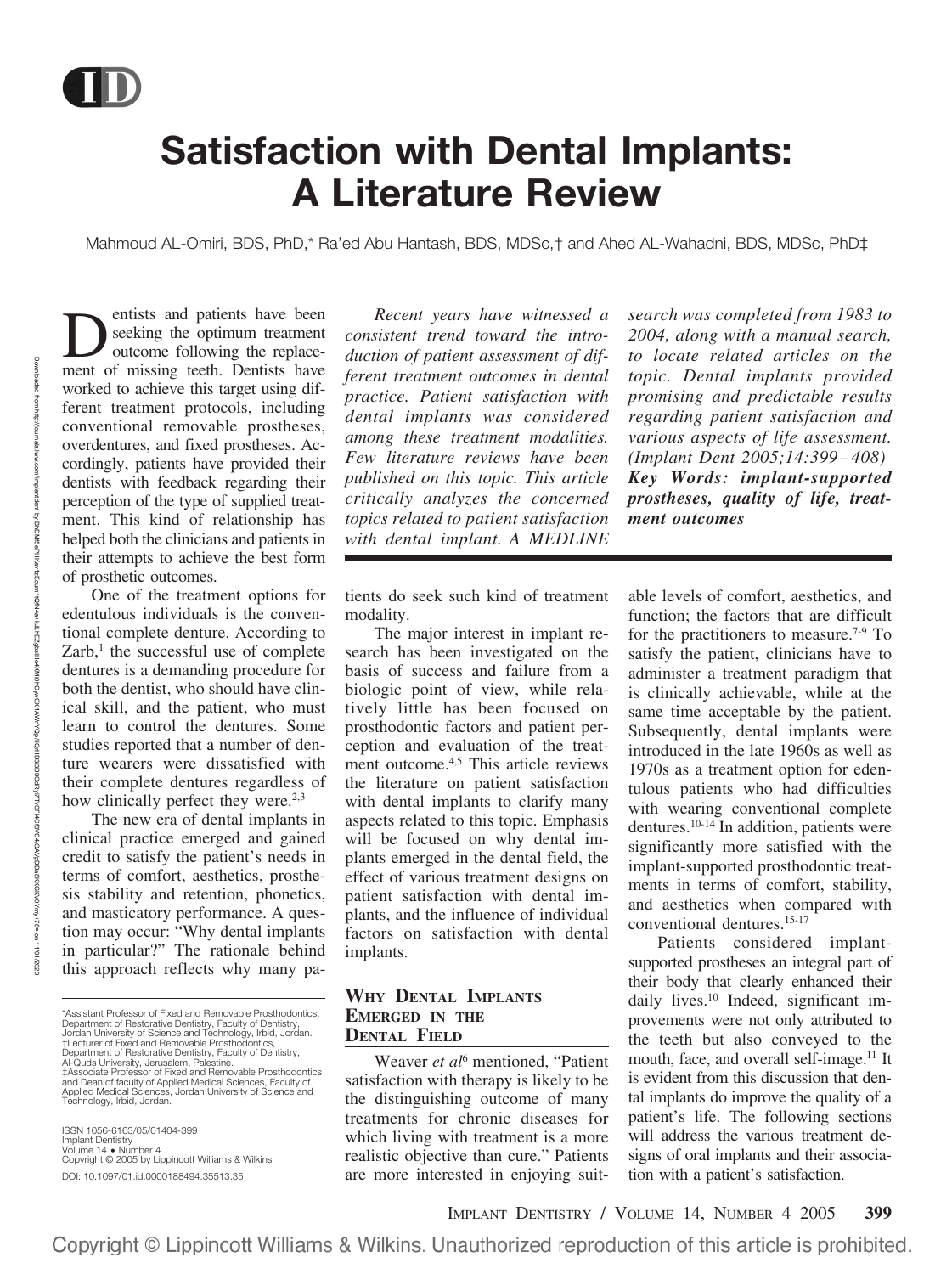# **Satisfaction with Dental Implants: A Literature Review**

Mahmoud AL-Omiri, BDS, PhD,\* Ra'ed Abu Hantash, BDS, MDSc,† and Ahed AL-Wahadni, BDS, MDSc, PhD‡

**Dentists and patients have been**<br>seeking the optimum treatment<br>outcome following the replaceseeking the optimum treatment outcome following the replacement of missing teeth. Dentists have worked to achieve this target using different treatment protocols, including conventional removable prostheses, overdentures, and fixed prostheses. Accordingly, patients have provided their dentists with feedback regarding their perception of the type of supplied treatment. This kind of relationship has helped both the clinicians and patients in their attempts to achieve the best form of prosthetic outcomes.

One of the treatment options for edentulous individuals is the conventional complete denture. According to  $Zarb<sub>1</sub>$ <sup>1</sup> the successful use of complete dentures is a demanding procedure for both the dentist, who should have clinical skill, and the patient, who must learn to control the dentures. Some studies reported that a number of denture wearers were dissatisfied with their complete dentures regardless of how clinically perfect they were.<sup>2,3</sup>

The new era of dental implants in clinical practice emerged and gained credit to satisfy the patient's needs in terms of comfort, aesthetics, prosthesis stability and retention, phonetics, and masticatory performance. A question may occur: "Why dental implants in particular?" The rationale behind this approach reflects why many pa-

ISSN 1056-6163/05/01404-399 Implant Dentistry<br>Volume 14 • Number 4 Volume 14 • Number 4 Copyright © 2005 by Lippincott Williams & Wilkins DOI: 10.1097/01.id.0000188494.35513.35

*Recent years have witnessed a consistent trend toward the introduction of patient assessment of different treatment outcomes in dental practice. Patient satisfaction with dental implants was considered among these treatment modalities. Few literature reviews have been published on this topic. This article critically analyzes the concerned topics related to patient satisfaction with dental implant. A MEDLINE*

*search was completed from 1983 to 2004, along with a manual search, to locate related articles on the topic. Dental implants provided promising and predictable results regarding patient satisfaction and various aspects of life assessment. (Implant Dent 2005;14:399–408) Key Words: implant-supported prostheses, quality of life, treatment outcomes*

tients do seek such kind of treatment modality.

The major interest in implant research has been investigated on the basis of success and failure from a biologic point of view, while relatively little has been focused on prosthodontic factors and patient perception and evaluation of the treatment outcome.<sup>4,5</sup> This article reviews the literature on patient satisfaction with dental implants to clarify many aspects related to this topic. Emphasis will be focused on why dental implants emerged in the dental field, the effect of various treatment designs on patient satisfaction with dental implants, and the influence of individual factors on satisfaction with dental implants.

# **WHY DENTAL IMPLANTS EMERGED IN THE DENTAL FIELD**

Weaver *et al*<sup>6</sup> mentioned, "Patient satisfaction with therapy is likely to be the distinguishing outcome of many treatments for chronic diseases for which living with treatment is a more realistic objective than cure." Patients are more interested in enjoying suitable levels of comfort, aesthetics, and function; the factors that are difficult for the practitioners to measure.<sup>7-9</sup> To satisfy the patient, clinicians have to administer a treatment paradigm that is clinically achievable, while at the same time acceptable by the patient. Subsequently, dental implants were introduced in the late 1960s as well as 1970s as a treatment option for edentulous patients who had difficulties with wearing conventional complete dentures.10-14 In addition, patients were significantly more satisfied with the implant-supported prosthodontic treatments in terms of comfort, stability, and aesthetics when compared with conventional dentures.15-17

Patients considered implantsupported prostheses an integral part of their body that clearly enhanced their daily lives.<sup>10</sup> Indeed, significant improvements were not only attributed to the teeth but also conveyed to the mouth, face, and overall self-image.<sup>11</sup> It is evident from this discussion that dental implants do improve the quality of a patient's life. The following sections will address the various treatment designs of oral implants and their association with a patient's satisfaction.

IMPLANT DENTISTRY / VOLUME 14, NUMBER 4 2005 **399**

<sup>\*</sup>Assistant Professor of Fixed and Removable Prosthodontics,<br>Department of Restorative Dentistry, Faculty of Dentistry,<br>Jordan University of Science and Technology, Irbid, Jordan.<br>†Lecturer of Fixed and Removable Prosthodon

Department of Restorative Dentistry, Faculty of Dentistry, Al-Quds University, Jerusalem, Palestine. ‡Associate Professor of Fixed and Removable Prosthodontics and Dean of faculty of Applied Medical Sciences, Faculty of Applied Medical Sciences, Jordan University of Science and Technology, Irbid, Jordan.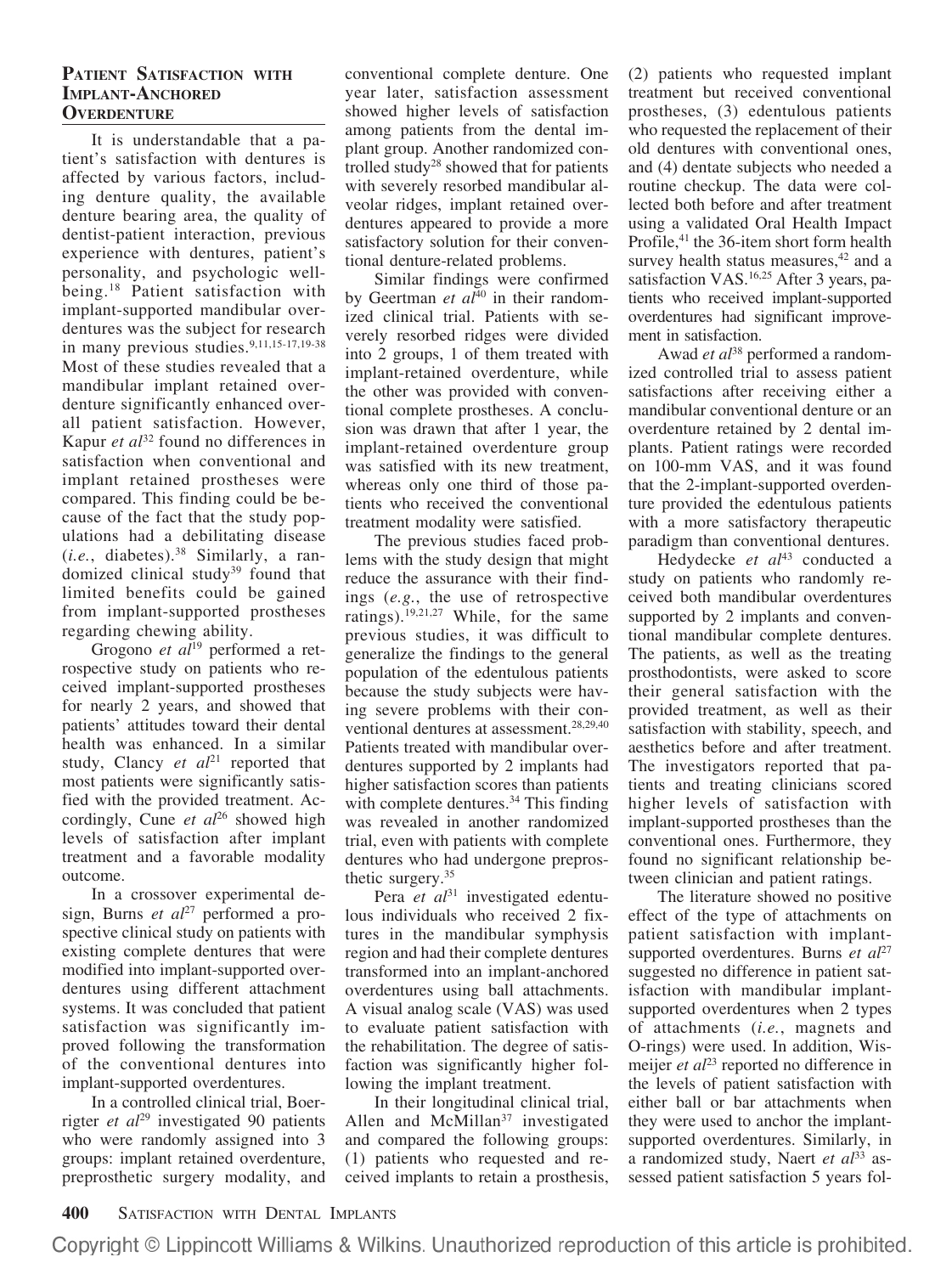### **PATIENT SATISFACTION WITH IMPLANT-ANCHORED OVERDENTURE**

It is understandable that a patient's satisfaction with dentures is affected by various factors, including denture quality, the available denture bearing area, the quality of dentist-patient interaction, previous experience with dentures, patient's personality, and psychologic wellbeing.18 Patient satisfaction with implant-supported mandibular overdentures was the subject for research in many previous studies.9,11,15-17,19-38 Most of these studies revealed that a mandibular implant retained overdenture significantly enhanced overall patient satisfaction. However, Kapur *et al*<sup>32</sup> found no differences in satisfaction when conventional and implant retained prostheses were compared. This finding could be because of the fact that the study populations had a debilitating disease (*i.e.*, diabetes).38 Similarly, a randomized clinical study<sup>39</sup> found that limited benefits could be gained from implant-supported prostheses regarding chewing ability.

Grogono *et al*<sup>19</sup> performed a retrospective study on patients who received implant-supported prostheses for nearly 2 years, and showed that patients' attitudes toward their dental health was enhanced. In a similar study, Clancy *et al*<sup>21</sup> reported that most patients were significantly satisfied with the provided treatment. Accordingly, Cune *et al*<sup>26</sup> showed high levels of satisfaction after implant treatment and a favorable modality outcome.

In a crossover experimental design, Burns *et al*<sup>27</sup> performed a prospective clinical study on patients with existing complete dentures that were modified into implant-supported overdentures using different attachment systems. It was concluded that patient satisfaction was significantly improved following the transformation of the conventional dentures into implant-supported overdentures.

In a controlled clinical trial, Boerrigter *et al*<sup>29</sup> investigated 90 patients who were randomly assigned into 3 groups: implant retained overdenture, preprosthetic surgery modality, and

conventional complete denture. One year later, satisfaction assessment showed higher levels of satisfaction among patients from the dental implant group. Another randomized controlled study<sup>28</sup> showed that for patients with severely resorbed mandibular alveolar ridges, implant retained overdentures appeared to provide a more satisfactory solution for their conventional denture-related problems.

Similar findings were confirmed by Geertman *et al*<sup>40</sup> in their randomized clinical trial. Patients with severely resorbed ridges were divided into 2 groups, 1 of them treated with implant-retained overdenture, while the other was provided with conventional complete prostheses. A conclusion was drawn that after 1 year, the implant-retained overdenture group was satisfied with its new treatment, whereas only one third of those patients who received the conventional treatment modality were satisfied.

The previous studies faced problems with the study design that might reduce the assurance with their findings (*e.g.*, the use of retrospective ratings).19,21,27 While, for the same previous studies, it was difficult to generalize the findings to the general population of the edentulous patients because the study subjects were having severe problems with their conventional dentures at assessment.<sup>28,29,40</sup> Patients treated with mandibular overdentures supported by 2 implants had higher satisfaction scores than patients with complete dentures.<sup>34</sup> This finding was revealed in another randomized trial, even with patients with complete dentures who had undergone preprosthetic surgery.35

Pera *et al*<sup>31</sup> investigated edentulous individuals who received 2 fixtures in the mandibular symphysis region and had their complete dentures transformed into an implant-anchored overdentures using ball attachments. A visual analog scale (VAS) was used to evaluate patient satisfaction with the rehabilitation. The degree of satisfaction was significantly higher following the implant treatment.

In their longitudinal clinical trial, Allen and McMillan<sup>37</sup> investigated and compared the following groups: (1) patients who requested and received implants to retain a prosthesis, (2) patients who requested implant treatment but received conventional prostheses, (3) edentulous patients who requested the replacement of their old dentures with conventional ones, and (4) dentate subjects who needed a routine checkup. The data were collected both before and after treatment using a validated Oral Health Impact Profile,<sup>41</sup> the 36-item short form health survey health status measures,<sup>42</sup> and a satisfaction VAS.<sup>16,25</sup> After 3 years, patients who received implant-supported overdentures had significant improvement in satisfaction.

Awad *et al*<sup>38</sup> performed a randomized controlled trial to assess patient satisfactions after receiving either a mandibular conventional denture or an overdenture retained by 2 dental implants. Patient ratings were recorded on 100-mm VAS, and it was found that the 2-implant-supported overdenture provided the edentulous patients with a more satisfactory therapeutic paradigm than conventional dentures.

Hedydecke et al<sup>43</sup> conducted a study on patients who randomly received both mandibular overdentures supported by 2 implants and conventional mandibular complete dentures. The patients, as well as the treating prosthodontists, were asked to score their general satisfaction with the provided treatment, as well as their satisfaction with stability, speech, and aesthetics before and after treatment. The investigators reported that patients and treating clinicians scored higher levels of satisfaction with implant-supported prostheses than the conventional ones. Furthermore, they found no significant relationship between clinician and patient ratings.

The literature showed no positive effect of the type of attachments on patient satisfaction with implantsupported overdentures. Burns *et al*<sup>27</sup> suggested no difference in patient satisfaction with mandibular implantsupported overdentures when 2 types of attachments (*i.e.*, magnets and O-rings) were used. In addition, Wismeijer *et al*<sup>23</sup> reported no difference in the levels of patient satisfaction with either ball or bar attachments when they were used to anchor the implantsupported overdentures. Similarly, in a randomized study, Naert *et al*<sup>33</sup> assessed patient satisfaction 5 years fol-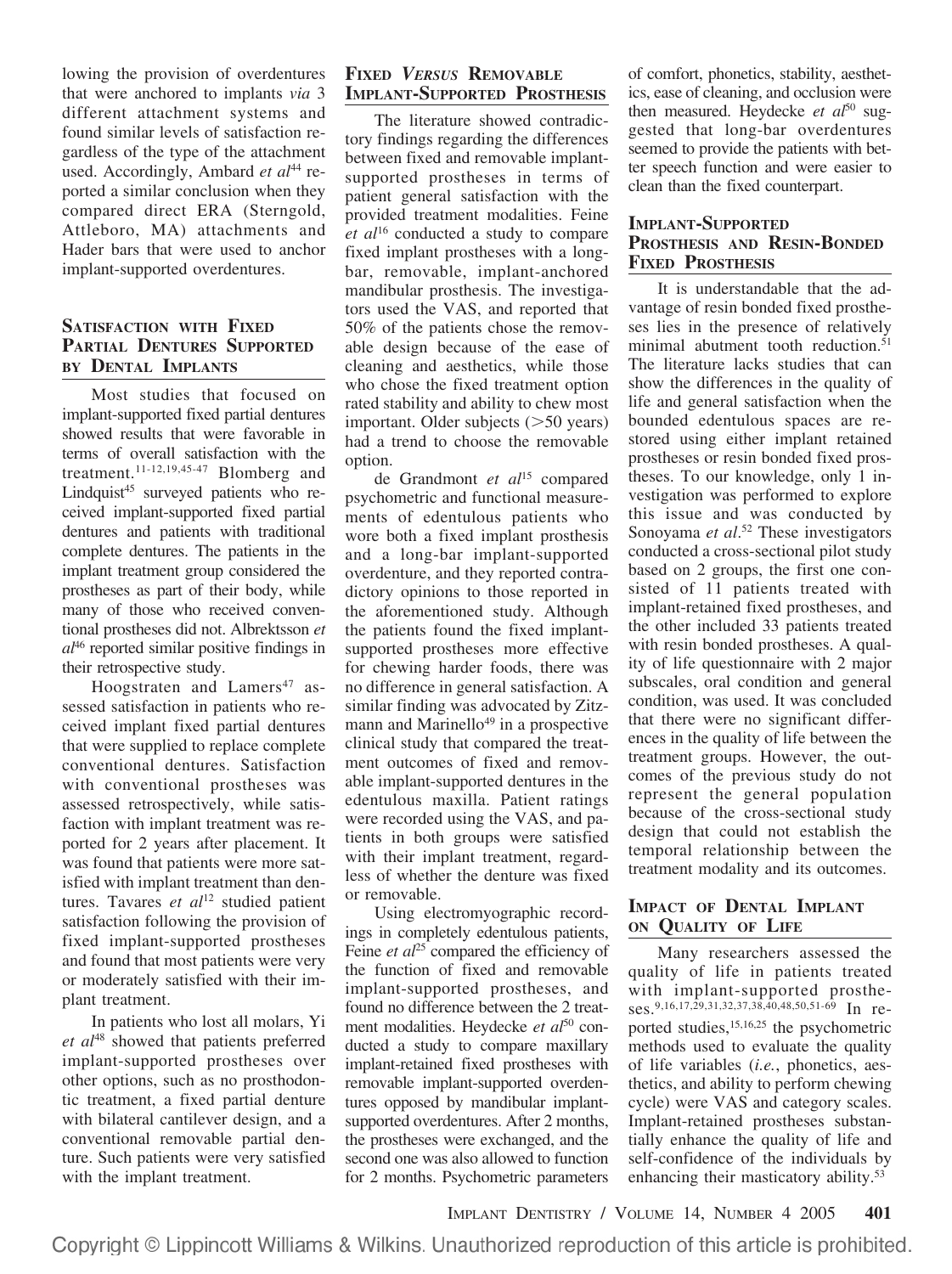lowing the provision of overdentures that were anchored to implants *via* 3 different attachment systems and found similar levels of satisfaction regardless of the type of the attachment used. Accordingly, Ambard *et al*<sup>44</sup> reported a similar conclusion when they compared direct ERA (Sterngold, Attleboro, MA) attachments and Hader bars that were used to anchor implant-supported overdentures.

# **SATISFACTION WITH FIXED PARTIAL DENTURES SUPPORTED BY DENTAL IMPLANTS**

Most studies that focused on implant-supported fixed partial dentures showed results that were favorable in terms of overall satisfaction with the treatment.11-12,19,45-47 Blomberg and Lindquist<sup>45</sup> surveyed patients who received implant-supported fixed partial dentures and patients with traditional complete dentures. The patients in the implant treatment group considered the prostheses as part of their body, while many of those who received conventional prostheses did not. Albrektsson *et al*<sup>46</sup> reported similar positive findings in their retrospective study.

Hoogstraten and Lamers<sup>47</sup> assessed satisfaction in patients who received implant fixed partial dentures that were supplied to replace complete conventional dentures. Satisfaction with conventional prostheses was assessed retrospectively, while satisfaction with implant treatment was reported for 2 years after placement. It was found that patients were more satisfied with implant treatment than dentures. Tavares *et al*<sup>12</sup> studied patient satisfaction following the provision of fixed implant-supported prostheses and found that most patients were very or moderately satisfied with their implant treatment.

In patients who lost all molars, Yi *et al*<sup>48</sup> showed that patients preferred implant-supported prostheses over other options, such as no prosthodontic treatment, a fixed partial denture with bilateral cantilever design, and a conventional removable partial denture. Such patients were very satisfied with the implant treatment.

# **FIXED** *VERSUS* **REMOVABLE IMPLANT-SUPPORTED PROSTHESIS**

The literature showed contradictory findings regarding the differences between fixed and removable implantsupported prostheses in terms of patient general satisfaction with the provided treatment modalities. Feine *et al*<sup>16</sup> conducted a study to compare fixed implant prostheses with a longbar, removable, implant-anchored mandibular prosthesis. The investigators used the VAS, and reported that 50% of the patients chose the removable design because of the ease of cleaning and aesthetics, while those who chose the fixed treatment option rated stability and ability to chew most important. Older subjects  $(>=50$  years) had a trend to choose the removable option.

de Grandmont *et al*<sup>15</sup> compared psychometric and functional measurements of edentulous patients who wore both a fixed implant prosthesis and a long-bar implant-supported overdenture, and they reported contradictory opinions to those reported in the aforementioned study. Although the patients found the fixed implantsupported prostheses more effective for chewing harder foods, there was no difference in general satisfaction. A similar finding was advocated by Zitzmann and Marinello<sup>49</sup> in a prospective clinical study that compared the treatment outcomes of fixed and removable implant-supported dentures in the edentulous maxilla. Patient ratings were recorded using the VAS, and patients in both groups were satisfied with their implant treatment, regardless of whether the denture was fixed or removable.

Using electromyographic recordings in completely edentulous patients, Feine *et al*<sup>25</sup> compared the efficiency of the function of fixed and removable implant-supported prostheses, and found no difference between the 2 treatment modalities. Heydecke *et al*<sup>50</sup> conducted a study to compare maxillary implant-retained fixed prostheses with removable implant-supported overdentures opposed by mandibular implantsupported overdentures. After 2 months, the prostheses were exchanged, and the second one was also allowed to function for 2 months. Psychometric parameters

of comfort, phonetics, stability, aesthetics, ease of cleaning, and occlusion were then measured. Heydecke *et al*<sup>50</sup> suggested that long-bar overdentures seemed to provide the patients with better speech function and were easier to clean than the fixed counterpart.

# **IMPLANT-SUPPORTED PROSTHESIS AND RESIN-BONDED FIXED PROSTHESIS**

It is understandable that the advantage of resin bonded fixed prostheses lies in the presence of relatively minimal abutment tooth reduction.<sup>51</sup> The literature lacks studies that can show the differences in the quality of life and general satisfaction when the bounded edentulous spaces are restored using either implant retained prostheses or resin bonded fixed prostheses. To our knowledge, only 1 investigation was performed to explore this issue and was conducted by Sonoyama *et al*. <sup>52</sup> These investigators conducted a cross-sectional pilot study based on 2 groups, the first one consisted of 11 patients treated with implant-retained fixed prostheses, and the other included 33 patients treated with resin bonded prostheses. A quality of life questionnaire with 2 major subscales, oral condition and general condition, was used. It was concluded that there were no significant differences in the quality of life between the treatment groups. However, the outcomes of the previous study do not represent the general population because of the cross-sectional study design that could not establish the temporal relationship between the treatment modality and its outcomes.

# **IMPACT OF DENTAL IMPLANT ON QUALITY OF LIFE**

Many researchers assessed the quality of life in patients treated with implant-supported prostheses.9,16,17,29,31,32,37,38,40,48,50,51-69 In reported studies,15,16,25 the psychometric methods used to evaluate the quality of life variables (*i.e.*, phonetics, aesthetics, and ability to perform chewing cycle) were VAS and category scales. Implant-retained prostheses substantially enhance the quality of life and self-confidence of the individuals by enhancing their masticatory ability.53

IMPLANT DENTISTRY / VOLUME 14, NUMBER 4 2005 **401**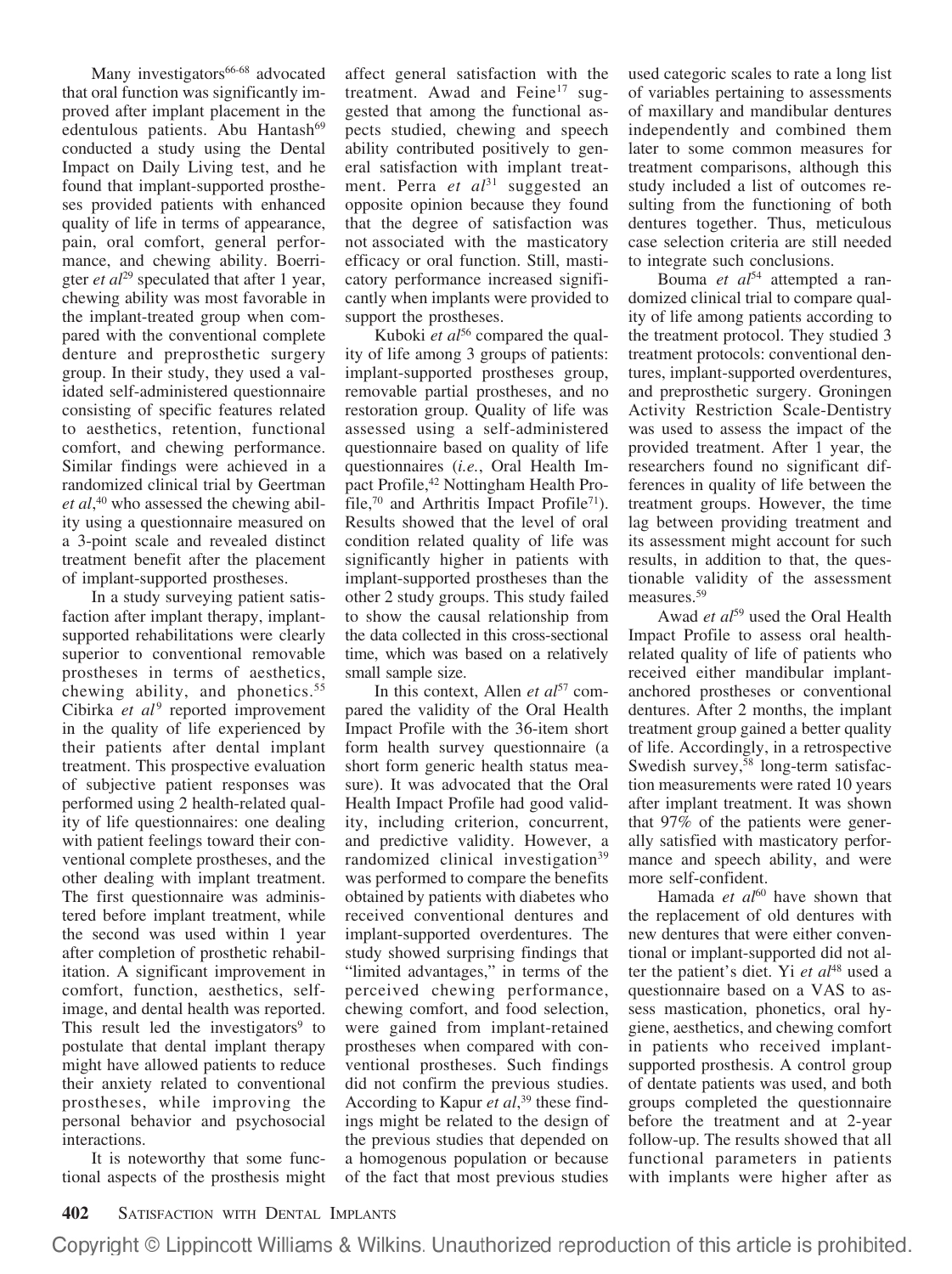Many investigators<sup>66-68</sup> advocated that oral function was significantly improved after implant placement in the edentulous patients. Abu Hantash<sup>69</sup> conducted a study using the Dental Impact on Daily Living test, and he found that implant-supported prostheses provided patients with enhanced quality of life in terms of appearance, pain, oral comfort, general performance, and chewing ability. Boerrigter *et al*<sup>29</sup> speculated that after 1 year, chewing ability was most favorable in the implant-treated group when compared with the conventional complete denture and preprosthetic surgery group. In their study, they used a validated self-administered questionnaire consisting of specific features related to aesthetics, retention, functional comfort, and chewing performance. Similar findings were achieved in a randomized clinical trial by Geertman *et al*, <sup>40</sup> who assessed the chewing ability using a questionnaire measured on a 3-point scale and revealed distinct treatment benefit after the placement of implant-supported prostheses.

In a study surveying patient satisfaction after implant therapy, implantsupported rehabilitations were clearly superior to conventional removable prostheses in terms of aesthetics, chewing ability, and phonetics.<sup>55</sup> Cibirka *et al*<sup>9</sup> reported improvement in the quality of life experienced by their patients after dental implant treatment. This prospective evaluation of subjective patient responses was performed using 2 health-related quality of life questionnaires: one dealing with patient feelings toward their conventional complete prostheses, and the other dealing with implant treatment. The first questionnaire was administered before implant treatment, while the second was used within 1 year after completion of prosthetic rehabilitation. A significant improvement in comfort, function, aesthetics, selfimage, and dental health was reported. This result led the investigators $9$  to postulate that dental implant therapy might have allowed patients to reduce their anxiety related to conventional prostheses, while improving the personal behavior and psychosocial interactions.

It is noteworthy that some functional aspects of the prosthesis might

affect general satisfaction with the treatment. Awad and Feine<sup>17</sup> suggested that among the functional aspects studied, chewing and speech ability contributed positively to general satisfaction with implant treatment. Perra *et al*<sup>31</sup> suggested an opposite opinion because they found that the degree of satisfaction was not associated with the masticatory efficacy or oral function. Still, masticatory performance increased significantly when implants were provided to support the prostheses.

Kuboki *et al*<sup>56</sup> compared the quality of life among 3 groups of patients: implant-supported prostheses group, removable partial prostheses, and no restoration group. Quality of life was assessed using a self-administered questionnaire based on quality of life questionnaires (*i.e.*, Oral Health Impact Profile,<sup>42</sup> Nottingham Health Profile, $70$  and Arthritis Impact Profile<sup>71</sup>). Results showed that the level of oral condition related quality of life was significantly higher in patients with implant-supported prostheses than the other 2 study groups. This study failed to show the causal relationship from the data collected in this cross-sectional time, which was based on a relatively small sample size.

In this context, Allen *et al*<sup>57</sup> compared the validity of the Oral Health Impact Profile with the 36-item short form health survey questionnaire (a short form generic health status measure). It was advocated that the Oral Health Impact Profile had good validity, including criterion, concurrent, and predictive validity. However, a randomized clinical investigation<sup>39</sup> was performed to compare the benefits obtained by patients with diabetes who received conventional dentures and implant-supported overdentures. The study showed surprising findings that "limited advantages," in terms of the perceived chewing performance, chewing comfort, and food selection, were gained from implant-retained prostheses when compared with conventional prostheses. Such findings did not confirm the previous studies. According to Kapur *et al*, <sup>39</sup> these findings might be related to the design of the previous studies that depended on a homogenous population or because of the fact that most previous studies

used categoric scales to rate a long list of variables pertaining to assessments of maxillary and mandibular dentures independently and combined them later to some common measures for treatment comparisons, although this study included a list of outcomes resulting from the functioning of both dentures together. Thus, meticulous case selection criteria are still needed to integrate such conclusions.

Bouma *et al*<sup>54</sup> attempted a randomized clinical trial to compare quality of life among patients according to the treatment protocol. They studied 3 treatment protocols: conventional dentures, implant-supported overdentures, and preprosthetic surgery. Groningen Activity Restriction Scale-Dentistry was used to assess the impact of the provided treatment. After 1 year, the researchers found no significant differences in quality of life between the treatment groups. However, the time lag between providing treatment and its assessment might account for such results, in addition to that, the questionable validity of the assessment measures.59

Awad *et al*<sup>59</sup> used the Oral Health Impact Profile to assess oral healthrelated quality of life of patients who received either mandibular implantanchored prostheses or conventional dentures. After 2 months, the implant treatment group gained a better quality of life. Accordingly, in a retrospective Swedish survey,<sup>58</sup> long-term satisfaction measurements were rated 10 years after implant treatment. It was shown that 97% of the patients were generally satisfied with masticatory performance and speech ability, and were more self-confident.

Hamada *et al*<sup>60</sup> have shown that the replacement of old dentures with new dentures that were either conventional or implant-supported did not alter the patient's diet. Yi *et al*<sup>48</sup> used a questionnaire based on a VAS to assess mastication, phonetics, oral hygiene, aesthetics, and chewing comfort in patients who received implantsupported prosthesis. A control group of dentate patients was used, and both groups completed the questionnaire before the treatment and at 2-year follow-up. The results showed that all functional parameters in patients with implants were higher after as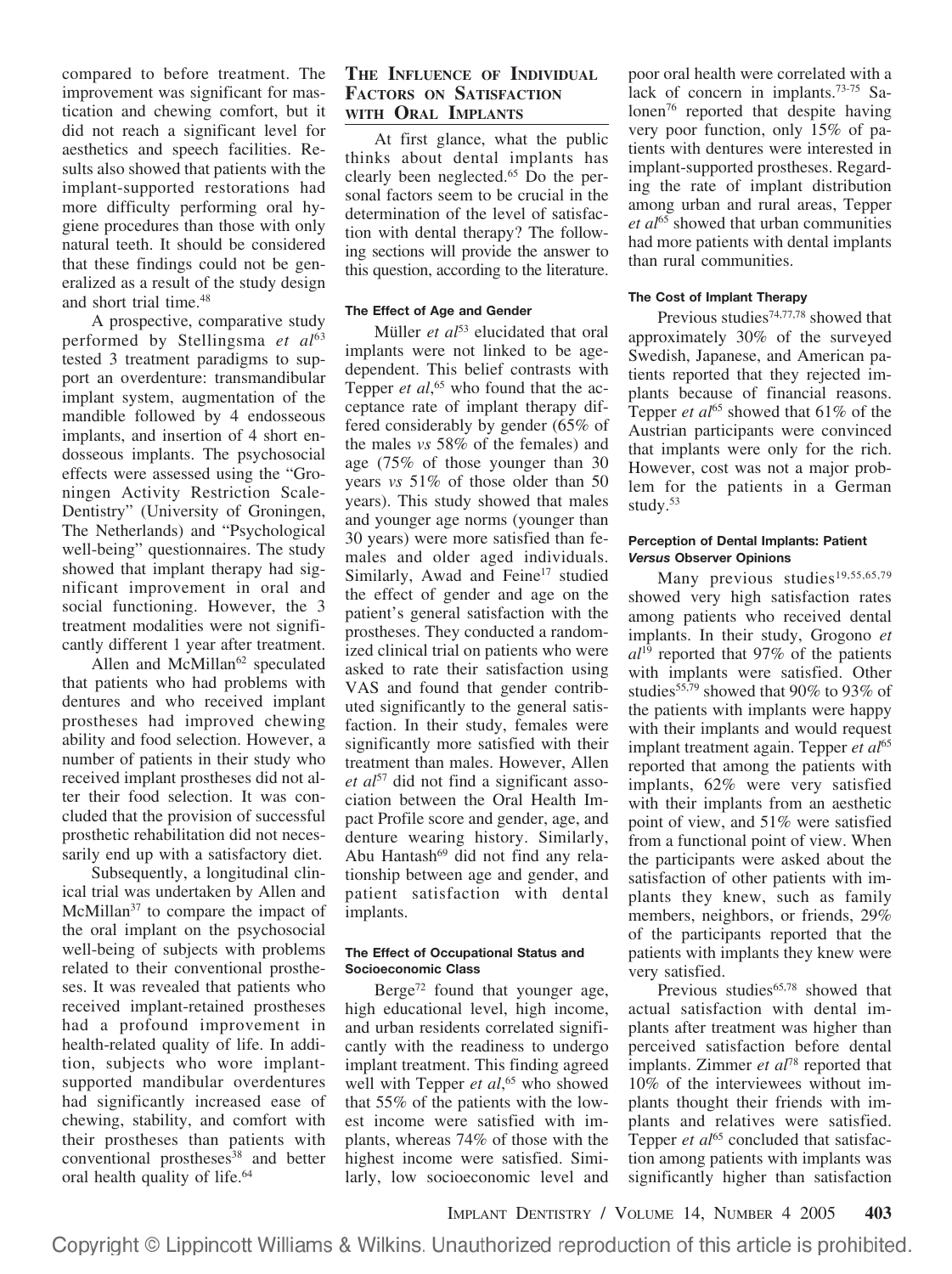compared to before treatment. The improvement was significant for mastication and chewing comfort, but it did not reach a significant level for aesthetics and speech facilities. Results also showed that patients with the implant-supported restorations had more difficulty performing oral hygiene procedures than those with only natural teeth. It should be considered that these findings could not be generalized as a result of the study design and short trial time.<sup>48</sup>

A prospective, comparative study performed by Stellingsma et al<sup>63</sup> tested 3 treatment paradigms to support an overdenture: transmandibular implant system, augmentation of the mandible followed by 4 endosseous implants, and insertion of 4 short endosseous implants. The psychosocial effects were assessed using the "Groningen Activity Restriction Scale-Dentistry" (University of Groningen, The Netherlands) and "Psychological well-being" questionnaires. The study showed that implant therapy had significant improvement in oral and social functioning. However, the 3 treatment modalities were not significantly different 1 year after treatment.

Allen and McMillan<sup>62</sup> speculated that patients who had problems with dentures and who received implant prostheses had improved chewing ability and food selection. However, a number of patients in their study who received implant prostheses did not alter their food selection. It was concluded that the provision of successful prosthetic rehabilitation did not necessarily end up with a satisfactory diet.

Subsequently, a longitudinal clinical trial was undertaken by Allen and McMillan<sup>37</sup> to compare the impact of the oral implant on the psychosocial well-being of subjects with problems related to their conventional prostheses. It was revealed that patients who received implant-retained prostheses had a profound improvement in health-related quality of life. In addition, subjects who wore implantsupported mandibular overdentures had significantly increased ease of chewing, stability, and comfort with their prostheses than patients with conventional prostheses<sup>38</sup> and better oral health quality of life.64

# **THE INFLUENCE OF INDIVIDUAL FACTORS ON SATISFACTION WITH ORAL IMPLANTS**

At first glance, what the public thinks about dental implants has clearly been neglected.65 Do the personal factors seem to be crucial in the determination of the level of satisfaction with dental therapy? The following sections will provide the answer to this question, according to the literature.

#### **The Effect of Age and Gender**

Müller *et al*<sup>53</sup> elucidated that oral implants were not linked to be agedependent. This belief contrasts with Tepper *et al*,<sup>65</sup> who found that the acceptance rate of implant therapy differed considerably by gender (65% of the males *vs* 58% of the females) and age (75% of those younger than 30 years *vs* 51% of those older than 50 years). This study showed that males and younger age norms (younger than 30 years) were more satisfied than females and older aged individuals. Similarly, Awad and Feine<sup>17</sup> studied the effect of gender and age on the patient's general satisfaction with the prostheses. They conducted a randomized clinical trial on patients who were asked to rate their satisfaction using VAS and found that gender contributed significantly to the general satisfaction. In their study, females were significantly more satisfied with their treatment than males. However, Allen *et al*<sup>57</sup> did not find a significant association between the Oral Health Impact Profile score and gender, age, and denture wearing history. Similarly, Abu Hantash<sup>69</sup> did not find any relationship between age and gender, and patient satisfaction with dental implants.

#### **The Effect of Occupational Status and Socioeconomic Class**

Berge<sup>72</sup> found that younger age, high educational level, high income, and urban residents correlated significantly with the readiness to undergo implant treatment. This finding agreed well with Tepper *et al*,<sup>65</sup> who showed that 55% of the patients with the lowest income were satisfied with implants, whereas 74% of those with the highest income were satisfied. Similarly, low socioeconomic level and

poor oral health were correlated with a lack of concern in implants.<sup>73-75</sup> Salonen<sup>76</sup> reported that despite having very poor function, only 15% of patients with dentures were interested in implant-supported prostheses. Regarding the rate of implant distribution among urban and rural areas, Tepper et al<sup>65</sup> showed that urban communities had more patients with dental implants than rural communities.

#### **The Cost of Implant Therapy**

Previous studies<sup>74,77,78</sup> showed that approximately 30% of the surveyed Swedish, Japanese, and American patients reported that they rejected implants because of financial reasons. Tepper *et al*<sup>65</sup> showed that 61% of the Austrian participants were convinced that implants were only for the rich. However, cost was not a major problem for the patients in a German study.<sup>53</sup>

#### **Perception of Dental Implants: Patient** *Versus* **Observer Opinions**

Many previous studies<sup>19,55,65,79</sup> showed very high satisfaction rates among patients who received dental implants. In their study, Grogono *et al*<sup>19</sup> reported that 97% of the patients with implants were satisfied. Other studies<sup>55,79</sup> showed that 90% to 93% of the patients with implants were happy with their implants and would request implant treatment again. Tepper *et al*<sup>65</sup> reported that among the patients with implants, 62% were very satisfied with their implants from an aesthetic point of view, and 51% were satisfied from a functional point of view. When the participants were asked about the satisfaction of other patients with implants they knew, such as family members, neighbors, or friends, 29% of the participants reported that the patients with implants they knew were very satisfied.

Previous studies<sup>65,78</sup> showed that actual satisfaction with dental implants after treatment was higher than perceived satisfaction before dental implants. Zimmer *et al*<sup>78</sup> reported that 10% of the interviewees without implants thought their friends with implants and relatives were satisfied. Tepper *et al*<sup>65</sup> concluded that satisfaction among patients with implants was significantly higher than satisfaction

IMPLANT DENTISTRY / VOLUME 14, NUMBER 4 2005 **403**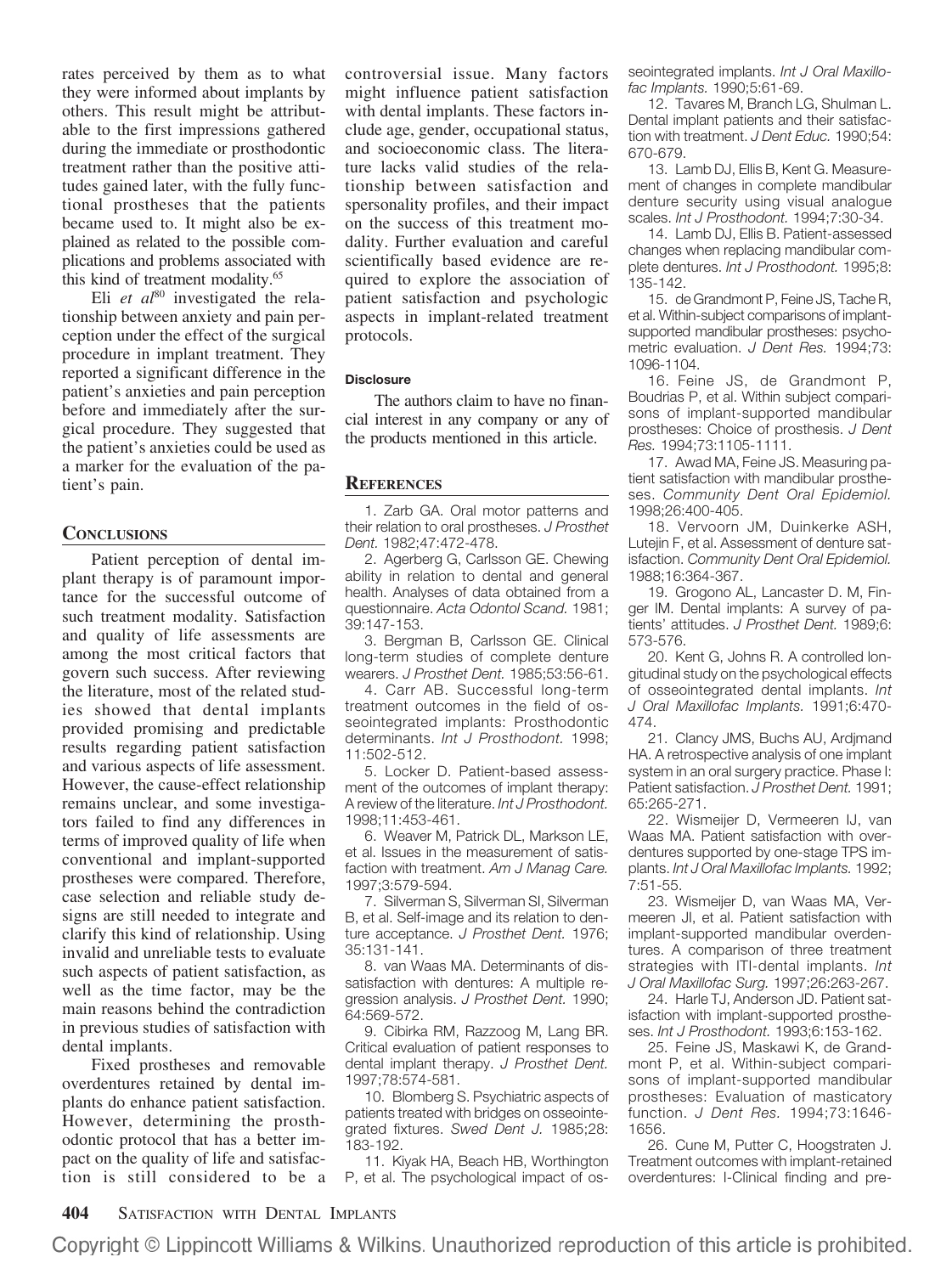rates perceived by them as to what they were informed about implants by others. This result might be attributable to the first impressions gathered during the immediate or prosthodontic treatment rather than the positive attitudes gained later, with the fully functional prostheses that the patients became used to. It might also be explained as related to the possible complications and problems associated with this kind of treatment modality.65

Eli *et al*<sup>80</sup> investigated the relationship between anxiety and pain perception under the effect of the surgical procedure in implant treatment. They reported a significant difference in the patient's anxieties and pain perception before and immediately after the surgical procedure. They suggested that the patient's anxieties could be used as a marker for the evaluation of the patient's pain.

#### **CONCLUSIONS**

Patient perception of dental implant therapy is of paramount importance for the successful outcome of such treatment modality. Satisfaction and quality of life assessments are among the most critical factors that govern such success. After reviewing the literature, most of the related studies showed that dental implants provided promising and predictable results regarding patient satisfaction and various aspects of life assessment. However, the cause-effect relationship remains unclear, and some investigators failed to find any differences in terms of improved quality of life when conventional and implant-supported prostheses were compared. Therefore, case selection and reliable study designs are still needed to integrate and clarify this kind of relationship. Using invalid and unreliable tests to evaluate such aspects of patient satisfaction, as well as the time factor, may be the main reasons behind the contradiction in previous studies of satisfaction with dental implants.

Fixed prostheses and removable overdentures retained by dental implants do enhance patient satisfaction. However, determining the prosthodontic protocol that has a better impact on the quality of life and satisfaction is still considered to be a

controversial issue. Many factors might influence patient satisfaction with dental implants. These factors include age, gender, occupational status, and socioeconomic class. The literature lacks valid studies of the relationship between satisfaction and spersonality profiles, and their impact on the success of this treatment modality. Further evaluation and careful scientifically based evidence are required to explore the association of patient satisfaction and psychologic aspects in implant-related treatment protocols.

#### **Disclosure**

The authors claim to have no financial interest in any company or any of the products mentioned in this article.

#### **REFERENCES**

1. Zarb GA. Oral motor patterns and their relation to oral prostheses. *J Prosthet Dent.* 1982;47:472-478.

2. Agerberg G, Carlsson GE. Chewing ability in relation to dental and general health. Analyses of data obtained from a questionnaire. *Acta Odontol Scand.* 1981; 39:147-153.

3. Bergman B, Carlsson GE. Clinical long-term studies of complete denture wearers. *J Prosthet Dent.* 1985;53:56-61.

4. Carr AB. Successful long-term treatment outcomes in the field of osseointegrated implants: Prosthodontic determinants. *Int J Prosthodont.* 1998; 11:502-512.

5. Locker D. Patient-based assessment of the outcomes of implant therapy: A review of the literature. *Int J Prosthodont.* 1998;11:453-461.

6. Weaver M, Patrick DL, Markson LE, et al. Issues in the measurement of satisfaction with treatment. *Am J Manag Care.* 1997;3:579-594.

7. Silverman S, Silverman SI, Silverman B, et al. Self-image and its relation to denture acceptance. *J Prosthet Dent.* 1976; 35:131-141.

8. van Waas MA. Determinants of dissatisfaction with dentures: A multiple regression analysis. *J Prosthet Dent.* 1990; 64:569-572.

9. Cibirka RM, Razzoog M, Lang BR. Critical evaluation of patient responses to dental implant therapy. *J Prosthet Dent.* 1997;78:574-581.

10. Blomberg S. Psychiatric aspects of patients treated with bridges on osseointegrated fixtures. *Swed Dent J.* 1985;28: 183-192.

11. Kiyak HA, Beach HB, Worthington P, et al. The psychological impact of osseointegrated implants. *Int J Oral Maxillofac Implants.* 1990;5:61-69.

12. Tavares M, Branch LG, Shulman L. Dental implant patients and their satisfaction with treatment. *J Dent Educ.* 1990;54: 670-679.

13. Lamb DJ, Ellis B, Kent G. Measurement of changes in complete mandibular denture security using visual analogue scales. *Int J Prosthodont.* 1994;7:30-34.

14. Lamb DJ, Ellis B. Patient-assessed changes when replacing mandibular complete dentures. *Int J Prosthodont.* 1995;8: 135-142.

15. de Grandmont P, Feine JS, Tache R, et al. Within-subject comparisons of implantsupported mandibular prostheses: psychometric evaluation. *J Dent Res.* 1994;73: 1096-1104.

16. Feine JS, de Grandmont P, Boudrias P, et al. Within subject comparisons of implant-supported mandibular prostheses: Choice of prosthesis. *J Dent Res.* 1994;73:1105-1111.

17. Awad MA, Feine JS. Measuring patient satisfaction with mandibular prostheses. *Community Dent Oral Epidemiol.* 1998;26:400-405.

18. Vervoorn JM, Duinkerke ASH, Lutejin F, et al. Assessment of denture satisfaction. *Community Dent Oral Epidemiol.* 1988;16:364-367.

19. Grogono AL, Lancaster D. M, Finger IM. Dental implants: A survey of patients' attitudes. *J Prosthet Dent.* 1989;6: 573-576.

20. Kent G, Johns R. A controlled longitudinal study on the psychological effects of osseointegrated dental implants. *Int J Oral Maxillofac Implants.* 1991;6:470- 474.

21. Clancy JMS, Buchs AU, Ardjmand HA. A retrospective analysis of one implant system in an oral surgery practice. Phase I: Patient satisfaction. *J Prosthet Dent.* 1991; 65:265-271.

22. Wismeijer D. Vermeeren IJ, van Waas MA. Patient satisfaction with overdentures supported by one-stage TPS implants. *Int J Oral Maxillofac Implants.* 1992; 7:51-55.

23. Wismeijer D, van Waas MA, Vermeeren JI, et al. Patient satisfaction with implant-supported mandibular overdentures. A comparison of three treatment strategies with ITI-dental implants. *Int J Oral Maxillofac Surg.* 1997;26:263-267.

24. Harle TJ, Anderson JD. Patient satisfaction with implant-supported prostheses. *Int J Prosthodont.* 1993;6:153-162.

25. Feine JS, Maskawi K, de Grandmont P, et al. Within-subject comparisons of implant-supported mandibular prostheses: Evaluation of masticatory function. *J Dent Res.* 1994;73:1646- 1656.

26. Cune M, Putter C, Hoogstraten J. Treatment outcomes with implant-retained overdentures: I-Clinical finding and pre-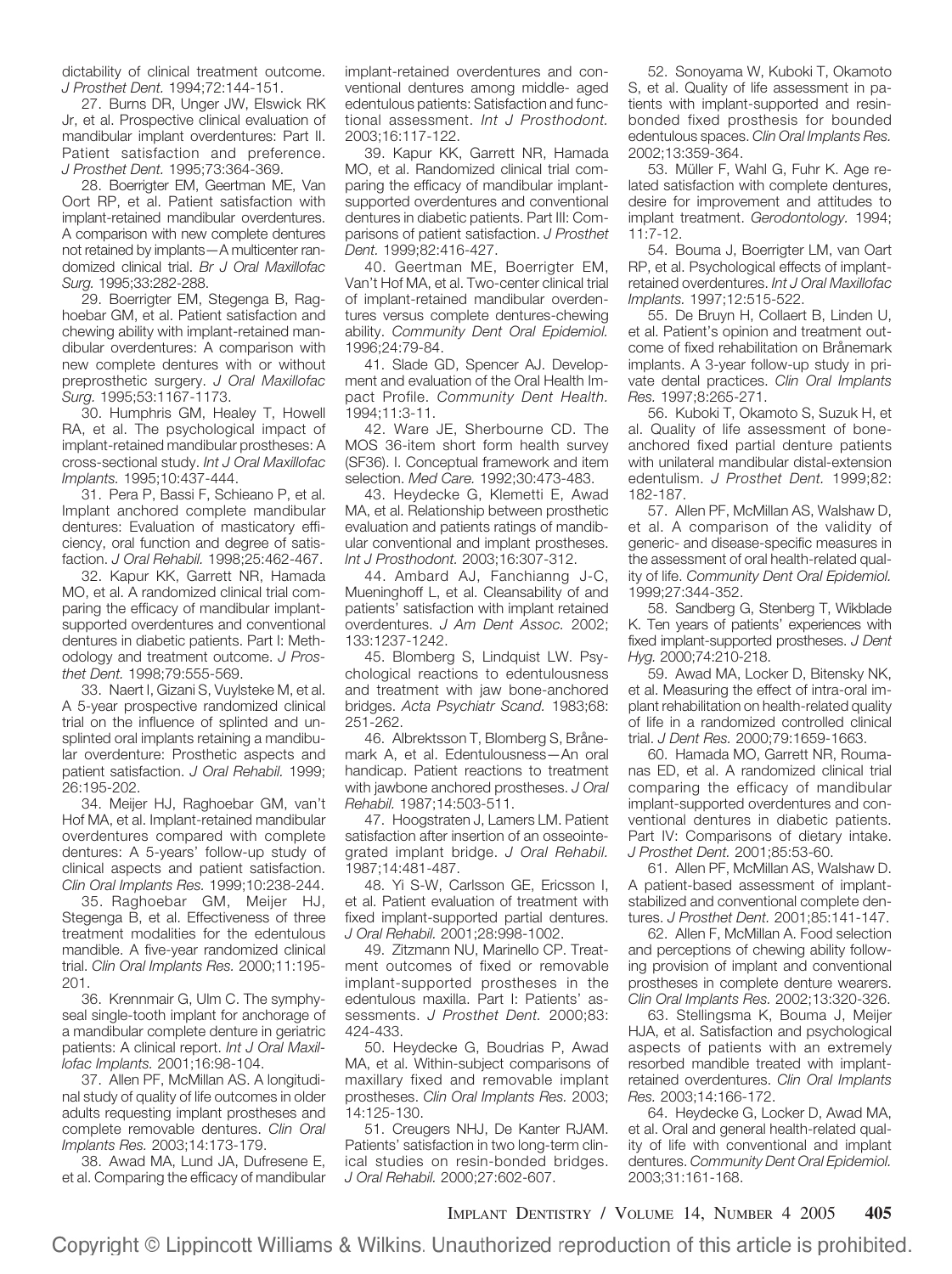dictability of clinical treatment outcome. *J Prosthet Dent.* 1994;72:144-151.

27. Burns DR, Unger JW, Elswick RK Jr, et al. Prospective clinical evaluation of mandibular implant overdentures: Part II. Patient satisfaction and preference. *J Prosthet Dent.* 1995;73:364-369.

28. Boerrigter EM, Geertman ME, Van Oort RP, et al. Patient satisfaction with implant-retained mandibular overdentures. A comparison with new complete dentures not retained by implants—A multicenter randomized clinical trial. *Br J Oral Maxillofac Surg.* 1995;33:282-288.

29. Boerrigter EM, Stegenga B, Raghoebar GM, et al. Patient satisfaction and chewing ability with implant-retained mandibular overdentures: A comparison with new complete dentures with or without preprosthetic surgery. *J Oral Maxillofac Surg.* 1995;53:1167-1173.

30. Humphris GM, Healey T, Howell RA, et al. The psychological impact of implant-retained mandibular prostheses: A cross-sectional study. *Int J Oral Maxillofac Implants.* 1995;10:437-444.

31. Pera P, Bassi F, Schieano P, et al. Implant anchored complete mandibular dentures: Evaluation of masticatory efficiency, oral function and degree of satisfaction. *J Oral Rehabil.* 1998;25:462-467.

32. Kapur KK, Garrett NR, Hamada MO, et al. A randomized clinical trial comparing the efficacy of mandibular implantsupported overdentures and conventional dentures in diabetic patients. Part I: Methodology and treatment outcome. *J Prosthet Dent.* 1998;79:555-569.

33. Naert I, Gizani S, Vuylsteke M, et al. A 5-year prospective randomized clinical trial on the influence of splinted and unsplinted oral implants retaining a mandibular overdenture: Prosthetic aspects and patient satisfaction. *J Oral Rehabil.* 1999; 26:195-202.

34. Meijer HJ, Raghoebar GM, van't Hof MA, et al. Implant-retained mandibular overdentures compared with complete dentures: A 5-years' follow-up study of clinical aspects and patient satisfaction. *Clin Oral Implants Res.* 1999;10:238-244.

35. Raghoebar GM, Meijer HJ, Stegenga B, et al. Effectiveness of three treatment modalities for the edentulous mandible. A five-year randomized clinical trial. *Clin Oral Implants Res.* 2000;11:195- 201.

36. Krennmair G, Ulm C. The symphyseal single-tooth implant for anchorage of a mandibular complete denture in geriatric patients: A clinical report. *Int J Oral Maxillofac Implants.* 2001;16:98-104.

37. Allen PF, McMillan AS. A longitudinal study of quality of life outcomes in older adults requesting implant prostheses and complete removable dentures. *Clin Oral Implants Res.* 2003;14:173-179.

38. Awad MA, Lund JA, Dufresene E, et al. Comparing the efficacy of mandibular

implant-retained overdentures and conventional dentures among middle- aged edentulous patients: Satisfaction and functional assessment. *Int J Prosthodont.* 2003;16:117-122.

39. Kapur KK, Garrett NR, Hamada MO, et al. Randomized clinical trial comparing the efficacy of mandibular implantsupported overdentures and conventional dentures in diabetic patients. Part III: Comparisons of patient satisfaction. *J Prosthet Dent.* 1999;82:416-427.

40. Geertman ME, Boerrigter EM, Van't Hof MA, et al. Two-center clinical trial of implant-retained mandibular overdentures versus complete dentures-chewing ability. *Community Dent Oral Epidemiol.* 1996;24:79-84.

41. Slade GD, Spencer AJ. Development and evaluation of the Oral Health Impact Profile. *Community Dent Health.* 1994;11:3-11.

42. Ware JE, Sherbourne CD. The MOS 36-item short form health survey (SF36). I. Conceptual framework and item selection. *Med Care.* 1992;30:473-483.

43. Heydecke G, Klemetti E, Awad MA, et al. Relationship between prosthetic evaluation and patients ratings of mandibular conventional and implant prostheses. *Int J Prosthodont.* 2003;16:307-312.

44. Ambard AJ, Fanchianng J-C, Mueninghoff L, et al. Cleansability of and patients' satisfaction with implant retained overdentures. *J Am Dent Assoc.* 2002; 133:1237-1242.

45. Blomberg S, Lindquist LW. Psychological reactions to edentulousness and treatment with jaw bone-anchored bridges. *Acta Psychiatr Scand.* 1983;68: 251-262.

46. Albrektsson T, Blomberg S, Brånemark A, et al. Edentulousness—An oral handicap. Patient reactions to treatment with jawbone anchored prostheses. *J Oral Rehabil.* 1987;14:503-511.

47. Hoogstraten J, Lamers LM. Patient satisfaction after insertion of an osseointegrated implant bridge. *J Oral Rehabil.* 1987;14:481-487.

48. Yi S-W, Carlsson GE, Ericsson I, et al. Patient evaluation of treatment with fixed implant-supported partial dentures. *J Oral Rehabil.* 2001;28:998-1002.

49. Zitzmann NU, Marinello CP. Treatment outcomes of fixed or removable implant-supported prostheses in the edentulous maxilla. Part I: Patients' assessments. *J Prosthet Dent.* 2000;83: 424-433.

50. Heydecke G, Boudrias P, Awad MA, et al. Within-subject comparisons of maxillary fixed and removable implant prostheses. *Clin Oral Implants Res.* 2003; 14:125-130.

51. Creugers NHJ, De Kanter RJAM. Patients' satisfaction in two long-term clinical studies on resin-bonded bridges. *J Oral Rehabil.* 2000;27:602-607.

52. Sonoyama W, Kuboki T, Okamoto S, et al. Quality of life assessment in patients with implant-supported and resinbonded fixed prosthesis for bounded edentulous spaces. *Clin Oral Implants Res.* 2002;13:359-364.

53. Müller F, Wahl G, Fuhr K. Age related satisfaction with complete dentures, desire for improvement and attitudes to implant treatment. *Gerodontology.* 1994; 11:7-12.

54. Bouma J, Boerrigter LM, van Oart RP, et al. Psychological effects of implantretained overdentures. *Int J Oral Maxillofac Implants.* 1997;12:515-522.

55. De Bruyn H, Collaert B, Linden U, et al. Patient's opinion and treatment outcome of fixed rehabilitation on Brånemark implants. A 3-year follow-up study in private dental practices. *Clin Oral Implants Res.* 1997;8:265-271.

56. Kuboki T, Okamoto S, Suzuk H, et al. Quality of life assessment of boneanchored fixed partial denture patients with unilateral mandibular distal-extension edentulism. *J Prosthet Dent.* 1999;82: 182-187.

57. Allen PF, McMillan AS, Walshaw D, et al. A comparison of the validity of generic- and disease-specific measures in the assessment of oral health-related quality of life. *Community Dent Oral Epidemiol.* 1999;27:344-352.

58. Sandberg G, Stenberg T, Wikblade K. Ten years of patients' experiences with fixed implant-supported prostheses. *J Dent Hyg.* 2000;74:210-218.

59. Awad MA, Locker D, Bitensky NK, et al. Measuring the effect of intra-oral implant rehabilitation on health-related quality of life in a randomized controlled clinical trial. *J Dent Res.* 2000;79:1659-1663.

60. Hamada MO, Garrett NR, Roumanas ED, et al. A randomized clinical trial comparing the efficacy of mandibular implant-supported overdentures and conventional dentures in diabetic patients. Part IV: Comparisons of dietary intake. *J Prosthet Dent.* 2001;85:53-60.

61. Allen PF, McMillan AS, Walshaw D. A patient-based assessment of implantstabilized and conventional complete dentures. *J Prosthet Dent.* 2001;85:141-147.

62. Allen F, McMillan A. Food selection and perceptions of chewing ability following provision of implant and conventional prostheses in complete denture wearers. *Clin Oral Implants Res.* 2002;13:320-326.

63. Stellingsma K, Bouma J, Meijer HJA, et al. Satisfaction and psychological aspects of patients with an extremely resorbed mandible treated with implantretained overdentures. *Clin Oral Implants Res.* 2003;14:166-172.

64. Heydecke G, Locker D, Awad MA, et al. Oral and general health-related quality of life with conventional and implant dentures. *Community Dent Oral Epidemiol.* 2003;31:161-168.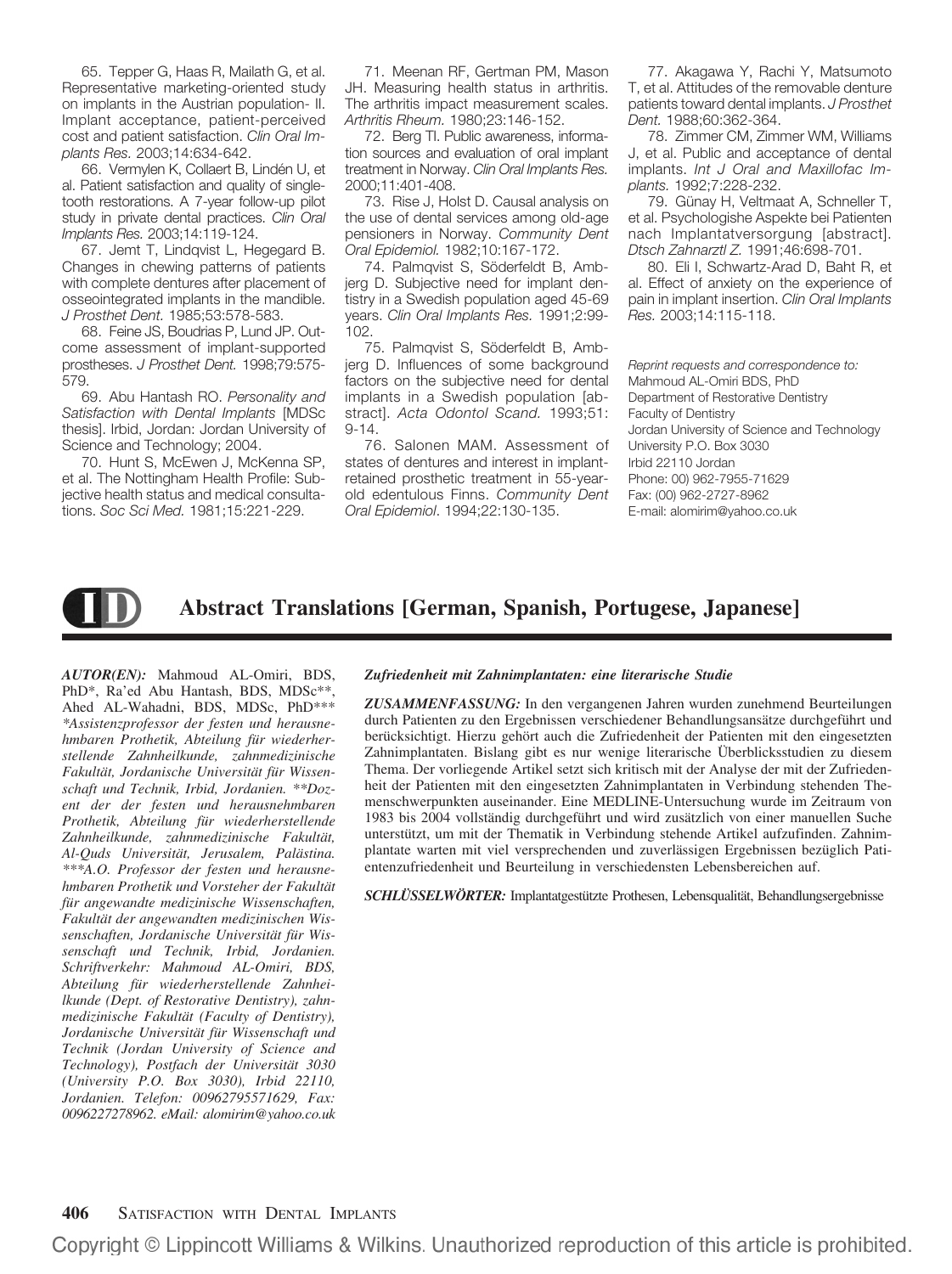65. Tepper G, Haas R, Mailath G, et al. Representative marketing-oriented study on implants in the Austrian population- II. Implant acceptance, patient-perceived cost and patient satisfaction. *Clin Oral Implants Res.* 2003;14:634-642.

66. Vermylen K, Collaert B, Lindén U, et al. Patient satisfaction and quality of singletooth restorations. A 7-year follow-up pilot study in private dental practices. *Clin Oral Implants Res.* 2003;14:119-124.

67. Jemt T, Lindqvist L, Hegegard B. Changes in chewing patterns of patients with complete dentures after placement of osseointegrated implants in the mandible. *J Prosthet Dent.* 1985;53:578-583.

68. Feine JS, Boudrias P, Lund JP. Outcome assessment of implant-supported prostheses. *J Prosthet Dent.* 1998;79:575- 579.

69. Abu Hantash RO. *Personality and Satisfaction with Dental Implants* [MDSc thesis]. Irbid, Jordan: Jordan University of Science and Technology; 2004.

70. Hunt S, McEwen J, McKenna SP, et al. The Nottingham Health Profile: Subjective health status and medical consultations. *Soc Sci Med.* 1981;15:221-229.

71. Meenan RF, Gertman PM, Mason JH. Measuring health status in arthritis. The arthritis impact measurement scales. *Arthritis Rheum.* 1980;23:146-152.

72. Berg TI. Public awareness, information sources and evaluation of oral implant treatment in Norway. *Clin Oral Implants Res.* 2000;11:401-408.

73. Rise J, Holst D. Causal analysis on the use of dental services among old-age pensioners in Norway. *Community Dent Oral Epidemiol.* 1982;10:167-172.

74. Palmqvist S, Söderfeldt B, Ambjerg D. Subjective need for implant dentistry in a Swedish population aged 45-69 years. *Clin Oral Implants Res.* 1991;2:99- 102.

75. Palmqvist S, Söderfeldt B, Ambjerg D. Influences of some background factors on the subjective need for dental implants in a Swedish population [abstract]. *Acta Odontol Scand.* 1993;51:  $9 - 14$ 

76. Salonen MAM. Assessment of states of dentures and interest in implantretained prosthetic treatment in 55-yearold edentulous Finns. *Community Dent Oral Epidemiol*. 1994;22:130-135.

77. Akagawa Y, Rachi Y, Matsumoto T, et al. Attitudes of the removable denture patients toward dental implants. *J Prosthet Dent.* 1988;60:362-364.

78. Zimmer CM, Zimmer WM, Williams J, et al. Public and acceptance of dental implants. *Int J Oral and Maxillofac Implants.* 1992;7:228-232.

79. Günay H, Veltmaat A, Schneller T, et al. Psychologishe Aspekte bei Patienten nach Implantatversorgung [abstract]. *Dtsch Zahnarztl Z.* 1991;46:698-701.

80. Eli I, Schwartz-Arad D, Baht R, et al. Effect of anxiety on the experience of pain in implant insertion. *Clin Oral Implants Res.* 2003;14:115-118.

*Reprint requests and correspondence to:* Mahmoud AL-Omiri BDS, PhD Department of Restorative Dentistry Faculty of Dentistry Jordan University of Science and Technology University P.O. Box 3030 Irbid 22110 Jordan Phone: 00) 962-7955-71629 Fax: (00) 962-2727-8962 E-mail: alomirim@yahoo.co.uk

# **Abstract Translations [German, Spanish, Portugese, Japanese]**

*AUTOR(EN):* Mahmoud AL-Omiri, BDS, PhD\*, Ra'ed Abu Hantash, BDS, MDSc\*\*, Ahed AL-Wahadni, BDS, MDSc, PhD\*\*\* *\*Assistenzprofessor der festen und herausnehmbaren Prothetik, Abteilung fu¨r wiederherstellende Zahnheilkunde, zahnmedizinische Fakulta¨t, Jordanische Universita¨t fu¨r Wissenschaft und Technik, Irbid, Jordanien. \*\*Dozent der der festen und herausnehmbaren Prothetik, Abteilung fu¨r wiederherstellende* Zahnheilkunde, zahnmedizinische Fakultät, *Al-Quds Universita¨t, Jerusalem, Pala¨stina. \*\*\*A.O. Professor der festen und herausnehmbaren Prothetik und Vorsteher der Fakulta¨t fu¨r angewandte medizinische Wissenschaften, Fakulta¨t der angewandten medizinischen Wis*senschaften, Jordanische Universität für Wis*senschaft und Technik, Irbid, Jordanien. Schriftverkehr: Mahmoud AL-Omiri, BDS, Abteilung fu¨r wiederherstellende Zahnheilkunde (Dept. of Restorative Dentistry), zahnmedizinische Fakulta¨t (Faculty of Dentistry), Jordanische Universita¨t fu¨r Wissenschaft und Technik (Jordan University of Science and* Technology), Postfach der Universität 3030 *(University P.O. Box 3030), Irbid 22110, Jordanien. Telefon: 00962795571629, Fax: 0096227278962. eMail: alomirim@yahoo.co.uk*

#### *Zufriedenheit mit Zahnimplantaten: eine literarische Studie*

*ZUSAMMENFASSUNG:* In den vergangenen Jahren wurden zunehmend Beurteilungen durch Patienten zu den Ergebnissen verschiedener Behandlungsansätze durchgeführt und berücksichtigt. Hierzu gehört auch die Zufriedenheit der Patienten mit den eingesetzten Zahnimplantaten. Bislang gibt es nur wenige literarische Überblicksstudien zu diesem Thema. Der vorliegende Artikel setzt sich kritisch mit der Analyse der mit der Zufriedenheit der Patienten mit den eingesetzten Zahnimplantaten in Verbindung stehenden Themenschwerpunkten auseinander. Eine MEDLINE-Untersuchung wurde im Zeitraum von 1983 bis 2004 vollständig durchgeführt und wird zusätzlich von einer manuellen Suche unterstützt, um mit der Thematik in Verbindung stehende Artikel aufzufinden. Zahnimplantate warten mit viel versprechenden und zuverlässigen Ergebnissen bezüglich Patientenzufriedenheit und Beurteilung in verschiedensten Lebensbereichen auf.

**SCHLÜSSELWÖRTER:** Implantatgestützte Prothesen, Lebensqualität, Behandlungsergebnisse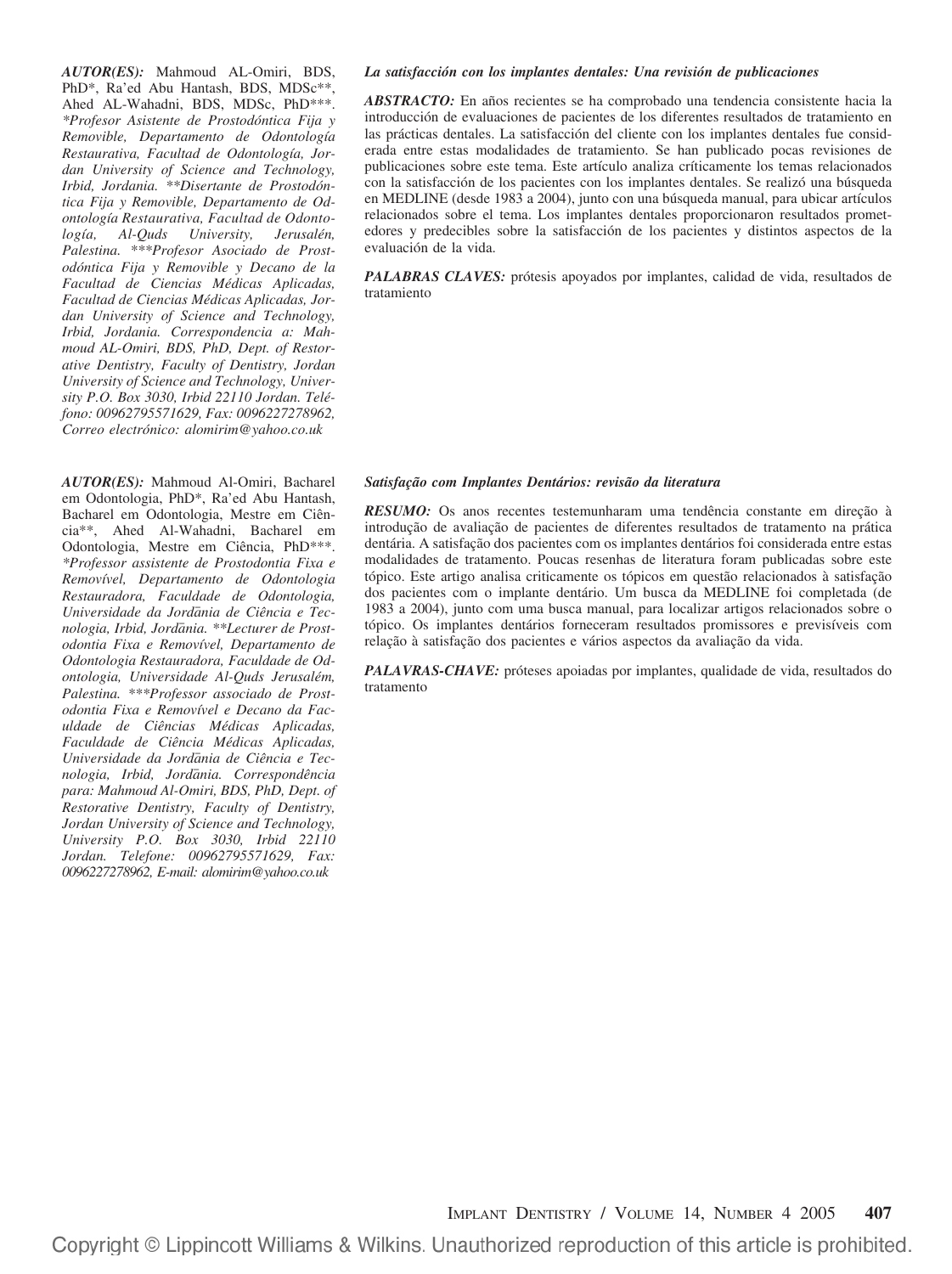*AUTOR(ES):* Mahmoud AL-Omiri, BDS, PhD\*, Ra'ed Abu Hantash, BDS, MDSc\*\*, Ahed AL-Wahadni, BDS, MDSc, PhD\*\*\*. *\*Profesor Asistente de Prostodo´ntica Fija y Removible, Departamento de Odontologı´a Restaurativa, Facultad de Odontologı´a, Jordan University of Science and Technology, Irbid, Jordania. \*\*Disertante de Prostodo´ntica Fija y Removible, Departamento de Odontologı´a Restaurativa, Facultad de Odontologı´a, Al-Quds University, Jerusale´n, Palestina. \*\*\*Profesor Asociado de Prostodo´ntica Fija y Removible y Decano de la Facultad de Ciencias Me´dicas Aplicadas,* Facultad de Ciencias Médicas Aplicadas, Jor*dan University of Science and Technology, Irbid, Jordania. Correspondencia a: Mahmoud AL-Omiri, BDS, PhD, Dept. of Restorative Dentistry, Faculty of Dentistry, Jordan University of Science and Technology, University P.O. Box 3030, Irbid 22110 Jordan. Tele´ fono: 00962795571629, Fax: 0096227278962, Correo electro´nico: alomirim@yahoo.co.uk*

*AUTOR(ES):* Mahmoud Al-Omiri, Bacharel em Odontologia, PhD\*, Ra'ed Abu Hantash, Bacharel em Odontologia, Mestre em Ciência\*\*, Ahed Al-Wahadni, Bacharel em Odontologia, Mestre em Ciência, PhD\*\*\*. *\*Professor assistente de Prostodontia Fixa e Removı´vel, Departamento de Odontologia Restauradora, Faculdade de Odontologia, Universidade da Jordania de Cieˆncia e Tecnologia, Irbid, Jordania. \*\*Lecturer de Prostodontia Fixa e Removı´vel, Departamento de Odontologia Restauradora, Faculdade de Odontologia, Universidade Al-Quds Jerusale´m, Palestina. \*\*\*Professor associado de Prostodontia Fixa e Removı´vel e Decano da Faculdade de Cieˆncias Me´dicas Aplicadas, Faculdade de Cieˆncia Me´dicas Aplicadas, Universidade da Jordania de Cieˆncia e Tecnologia, Irbid, Jordania. Correspondeˆncia para: Mahmoud Al-Omiri, BDS, PhD, Dept. of Restorative Dentistry, Faculty of Dentistry, Jordan University of Science and Technology, University P.O. Box 3030, Irbid 22110 Jordan. Telefone: 00962795571629, Fax: 0096227278962, E-mail: alomirim@yahoo.co.uk*

#### *La satisfaccio´n con los implantes dentales: Una revisio´n de publicaciones*

*ABSTRACTO:* En años recientes se ha comprobado una tendencia consistente hacia la introducción de evaluaciones de pacientes de los diferentes resultados de tratamiento en las prácticas dentales. La satisfacción del cliente con los implantes dentales fue considerada entre estas modalidades de tratamiento. Se han publicado pocas revisiones de publicaciones sobre este tema. Este artículo analiza críticamente los temas relacionados con la satisfacción de los pacientes con los implantes dentales. Se realizó una búsqueda en MEDLINE (desde 1983 a 2004), junto con una búsqueda manual, para ubicar artículos relacionados sobre el tema. Los implantes dentales proporcionaron resultados prometedores y predecibles sobre la satisfacción de los pacientes y distintos aspectos de la evaluación de la vida.

PALABRAS CLAVES: prótesis apoyados por implantes, calidad de vida, resultados de tratamiento

#### *Satisfac¸a˜o com Implantes Denta´rios: revisa˜o da literatura*

*RESUMO:* Os anos recentes testemunharam uma tendência constante em direção à introdução de avaliação de pacientes de diferentes resultados de tratamento na prática dentária. A satisfação dos pacientes com os implantes dentários foi considerada entre estas modalidades de tratamento. Poucas resenhas de literatura foram publicadas sobre este tópico. Este artigo analisa criticamente os tópicos em questão relacionados à satisfação dos pacientes com o implante dentário. Um busca da MEDLINE foi completada (de 1983 a 2004), junto com uma busca manual, para localizar artigos relacionados sobre o tópico. Os implantes dentários forneceram resultados promissores e previsíveis com relação à satisfação dos pacientes e vários aspectos da avaliação da vida.

PALAVRAS-CHAVE: próteses apoiadas por implantes, qualidade de vida, resultados do tratamento